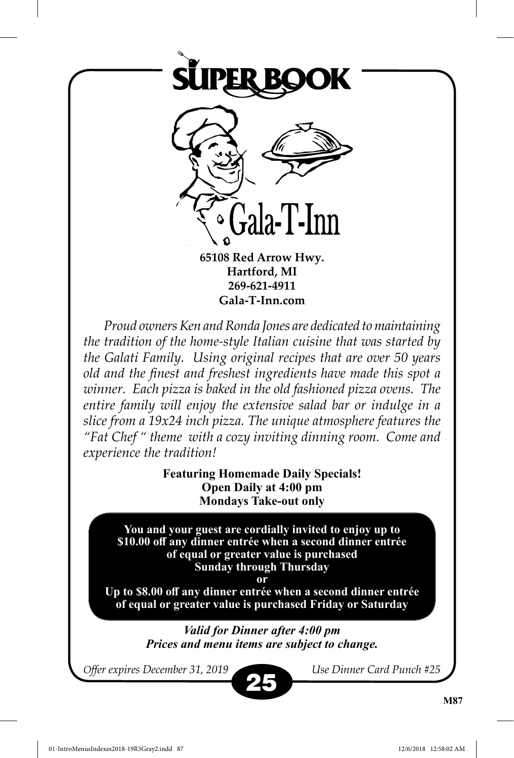

**65108 Red Arrow Hwy. Hartford, MI 269-621-4911 Gala-T-Inn.com**

*Proud owners Ken and Ronda Jones are dedicated to maintaining the tradition of the home-style Italian cuisine that was started by the Galati Family. Using original recipes that are over 50 years old and the finest and freshest ingredients have made this spot a winner. Each pizza is baked in the old fashioned pizza ovens. The entire family will enjoy the extensive salad bar or indulge in a slice from a 19x24 inch pizza. The unique atmosphere features the "Fat Chef " theme with a cozy inviting dinning room. Come and experience the tradition!*

> **Featuring Homemade Daily Specials! Open Daily at 4:00 pm Mondays Take-out only**

**You and your guest are cordially invited to enjoy up to \$10.00 off any dinner entrée when a second dinner entrée of equal or greater value is purchased Sunday through Thursday** 

**or**

**Up to \$8.00 off any dinner entrée when a second dinner entrée of equal or greater value is purchased Friday or Saturday**

> *Valid for Dinner after 4:00 pm Prices and menu items are subject to change.*

*Offer expires December 31, 2019 Use Dinner Card Punch #25*

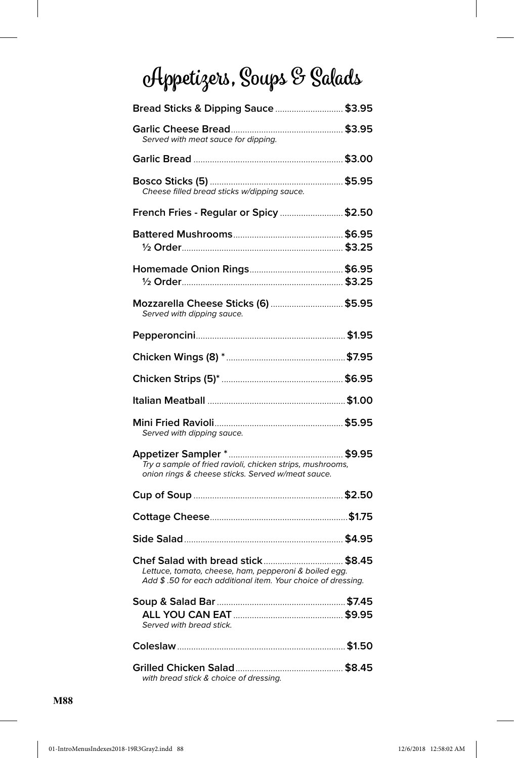# **Appetizers, Soups & Salads**

| Bread Sticks & Dipping Sauce  \$3.95                                                                                                                        |  |
|-------------------------------------------------------------------------------------------------------------------------------------------------------------|--|
| Served with meat sauce for dipping.                                                                                                                         |  |
|                                                                                                                                                             |  |
| Cheese filled bread sticks w/dipping sauce.                                                                                                                 |  |
| French Fries - Regular or Spicy \$2.50                                                                                                                      |  |
|                                                                                                                                                             |  |
|                                                                                                                                                             |  |
| Mozzarella Cheese Sticks (6)  \$5.95<br>Served with dipping sauce.                                                                                          |  |
|                                                                                                                                                             |  |
|                                                                                                                                                             |  |
|                                                                                                                                                             |  |
|                                                                                                                                                             |  |
| Served with dipping sauce.                                                                                                                                  |  |
| Try a sample of fried ravioli, chicken strips, mushrooms,<br>onion rings & cheese sticks. Served w/meat sauce.                                              |  |
|                                                                                                                                                             |  |
|                                                                                                                                                             |  |
|                                                                                                                                                             |  |
| Chef Salad with bread stick \$8.45<br>Lettuce, tomato, cheese, ham, pepperoni & boiled egg.<br>Add \$.50 for each additional item. Your choice of dressing. |  |
| Served with bread stick.                                                                                                                                    |  |
|                                                                                                                                                             |  |
| with bread stick & choice of dressing.                                                                                                                      |  |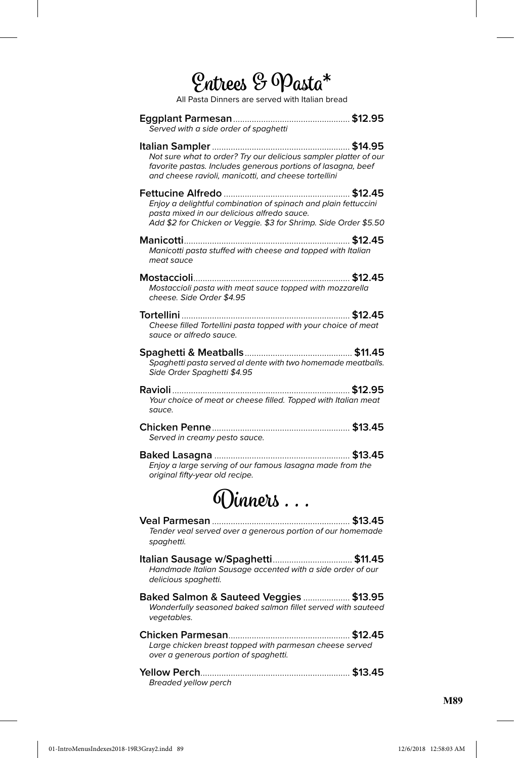## **Entrees & Pasta\***

All Pasta Dinners are served with Italian bread

| Served with a side order of spaghetti                                                                                                                                                    |
|------------------------------------------------------------------------------------------------------------------------------------------------------------------------------------------|
| Not sure what to order? Try our delicious sampler platter of our<br>favorite pastas. Includes generous portions of lasagna, beef<br>and cheese ravioli, manicotti, and cheese tortellini |
| Enjoy a delightful combination of spinach and plain fettuccini<br>pasta mixed in our delicious alfredo sauce.<br>Add \$2 for Chicken or Veggie. \$3 for Shrimp. Side Order \$5.50        |
| Manicotti pasta stuffed with cheese and topped with Italian<br>meat sauce                                                                                                                |
| Mostaccioli pasta with meat sauce topped with mozzarella<br>cheese. Side Order \$4.95                                                                                                    |
| Cheese filled Tortellini pasta topped with your choice of meat<br>sauce or alfredo sauce.                                                                                                |
| Spaghetti pasta served al dente with two homemade meatballs.<br>Side Order Spaghetti \$4.95                                                                                              |
| Your choice of meat or cheese filled. Topped with Italian meat<br>sauce.                                                                                                                 |
| Served in creamy pesto sauce.                                                                                                                                                            |
| Enjoy a large serving of our famous lasagna made from the<br>original fifty-year old recipe.                                                                                             |
| OVinners                                                                                                                                                                                 |
| Tender veal served over a generous portion of our homemade<br>spaghetti.                                                                                                                 |
| Handmade Italian Sausage accented with a side order of our<br>delicious spaghetti.                                                                                                       |
| Baked Salmon & Sauteed Veggies  \$13.95<br>Wonderfully seasoned baked salmon fillet served with sauteed<br>vegetables.                                                                   |
| Large chicken breast topped with parmesan cheese served<br>over a generous portion of spaghetti.                                                                                         |
| Breaded yellow perch                                                                                                                                                                     |

**M89**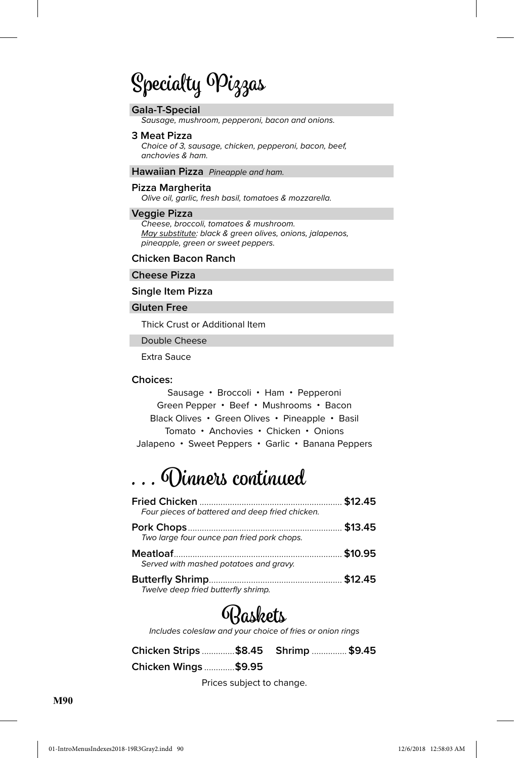## **Specialty Pizzas**

#### **GaIa-T-Special**

Sausage, mushroom, pepperoni, bacon and onions.

#### **3 Meat Pizza**

Choice of 3, sausage, chicken, pepperoni, bacon, beef, anchovies & ham.

#### **Hawaiian Pizza** Pineapple and ham.

#### **Pizza Margherita**

Olive oil, garlic, fresh basil, tomatoes & mozzarella.

#### **Veggie Pizza**

Cheese, broccoli, tomatoes & mushroom. May substitute: black & green olives, onions, jalapenos, pineapple, green or sweet peppers.

#### **Chicken Bacon Ranch**

#### **Cheese Pizza**

#### **Single Item Pizza**

#### **Gluten Free**

Thick Crust or Additional Item

Double Cheese

Extra Sauce

#### **Choices:**

Sausage • Broccoli • Ham • Pepperoni Green Pepper • Beef • Mushrooms • Bacon Black Olives • Green Olives • Pineapple • Basil Tomato • Anchovies • Chicken • Onions Jalapeno • Sweet Peppers • Garlic • Banana Peppers

### **. . . Dinners continued**

| Four pieces of battered and deep fried chicken. |  |
|-------------------------------------------------|--|
| Two large four ounce pan fried pork chops.      |  |
| Served with mashed potatoes and gravy.          |  |
| Twelve deep fried butterfly shrimp.             |  |

### **Baskets**

Includes coleslaw and your choice of fries or onion rings

| Chicken Strips \$8.45 Shrimp  \$9.45 |  |  |
|--------------------------------------|--|--|
| Chicken Wings \$9.95                 |  |  |

Prices subject to change.